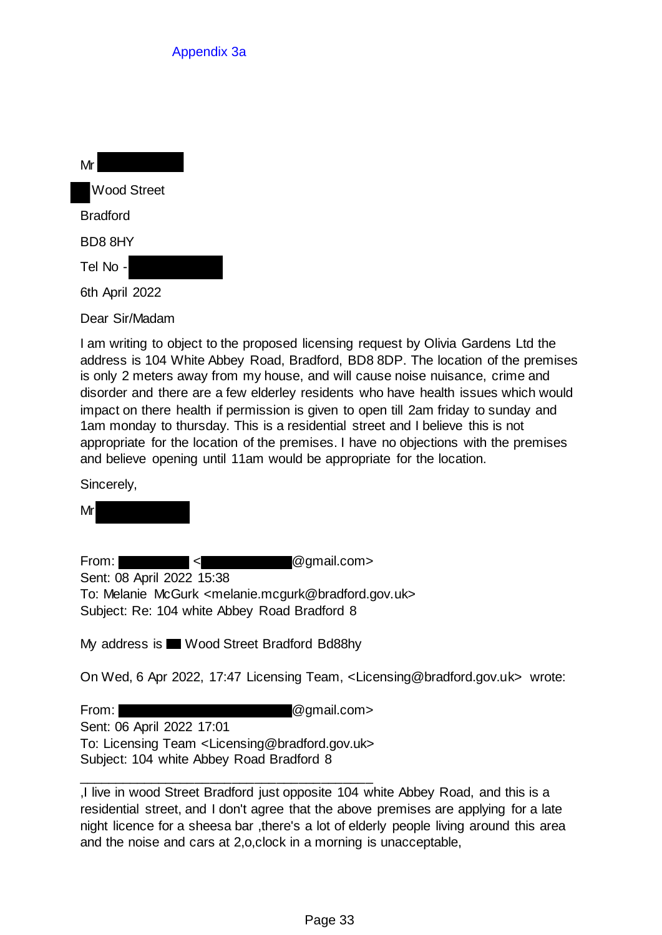| Mr                 |
|--------------------|
| <b>Wood Street</b> |
| Bradford           |
| BD8 8HY            |
| Tel No -           |
| 6th April 2022     |
| Dear Sir/Madam     |

I am writing to object to the proposed licensing request by Olivia Gardens Ltd the address is 104 White Abbey Road, Bradford, BD8 8DP. The location of the premises is only 2 meters away from my house, and will cause noise nuisance, crime and disorder and there are a few elderley residents who have health issues which would impact on there health if permission is given to open till 2am friday to sunday and 1am monday to thursday. This is a residential street and I believe this is not appropriate for the location of the premises. I have no objections with the premises and believe opening until 11am would be appropriate for the location.

Sincerely,

Mr

From: < @gmail.com> Sent: 08 April 2022 15:38 To: Melanie McGurk <melanie.mcgurk@bradford.gov.uk> Subject: Re: 104 white Abbey Road Bradford 8

My address is Wood Street Bradford Bd88hy

On Wed, 6 Apr 2022, 17:47 Licensing Team, <Licensing@bradford.gov.uk> wrote:

From: **@gmail.com>** @gmail.com Sent: 06 April 2022 17:01 To: Licensing Team <Licensing@bradford.gov.uk> Subject: 104 white Abbey Road Bradford 8

\_\_\_\_\_\_\_\_\_\_\_\_\_\_\_\_\_\_\_\_\_\_\_\_\_\_\_\_\_\_\_\_\_\_\_\_\_\_\_\_

,I live in wood Street Bradford just opposite 104 white Abbey Road, and this is a residential street, and I don't agree that the above premises are applying for a late night licence for a sheesa bar ,there's a lot of elderly people living around this area and the noise and cars at 2,o,clock in a morning is unacceptable,